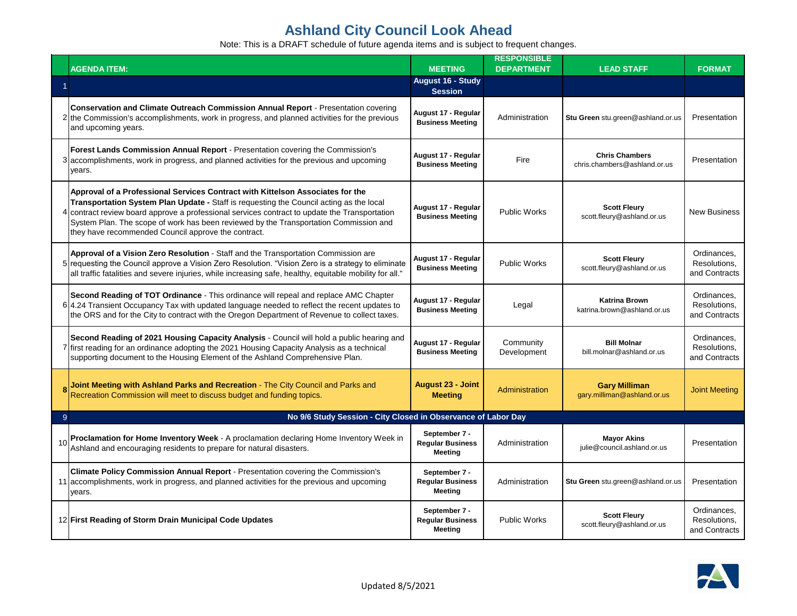## **Ashland City Council Look Ahead**

Note: This is a DRAFT schedule of future agenda items and is subject to frequent changes.

|   | <b>AGENDA ITEM:</b>                                                                                                                                                                                                                                                                                                                                                                                                        | <b>MEETING</b>                                                   | <b>RESPONSIBLE</b><br><b>DEPARTMENT</b> | <b>LEAD STAFF</b>                                     | <b>FORMAT</b>                                |
|---|----------------------------------------------------------------------------------------------------------------------------------------------------------------------------------------------------------------------------------------------------------------------------------------------------------------------------------------------------------------------------------------------------------------------------|------------------------------------------------------------------|-----------------------------------------|-------------------------------------------------------|----------------------------------------------|
|   |                                                                                                                                                                                                                                                                                                                                                                                                                            | August 16 - Study                                                |                                         |                                                       |                                              |
|   | <b>Conservation and Climate Outreach Commission Annual Report - Presentation covering</b><br>2 the Commission's accomplishments, work in progress, and planned activities for the previous<br>and upcoming years.                                                                                                                                                                                                          | <b>Session</b><br>August 17 - Regular<br><b>Business Meeting</b> | Administration                          | Stu Green stu.green@ashland.or.us                     | Presentation                                 |
|   | Forest Lands Commission Annual Report - Presentation covering the Commission's<br>3 accomplishments, work in progress, and planned activities for the previous and upcoming<br>years.                                                                                                                                                                                                                                      | August 17 - Regular<br><b>Business Meeting</b>                   | Fire                                    | <b>Chris Chambers</b><br>chris.chambers@ashland.or.us | Presentation                                 |
|   | Approval of a Professional Services Contract with Kittelson Associates for the<br>Transportation System Plan Update - Staff is requesting the Council acting as the local<br>4 contract review board approve a professional services contract to update the Transportation<br>System Plan. The scope of work has been reviewed by the Transportation Commission and<br>they have recommended Council approve the contract. | August 17 - Regular<br><b>Business Meeting</b>                   | <b>Public Works</b>                     | <b>Scott Fleury</b><br>scott.fleury@ashland.or.us     | <b>New Business</b>                          |
|   | Approval of a Vision Zero Resolution - Staff and the Transportation Commission are<br>5 requesting the Council approve a Vision Zero Resolution. "Vision Zero is a strategy to eliminate<br>all traffic fatalities and severe injuries, while increasing safe, healthy, equitable mobility for all."                                                                                                                       | August 17 - Regular<br><b>Business Meeting</b>                   | <b>Public Works</b>                     | <b>Scott Fleury</b><br>scott.fleury@ashland.or.us     | Ordinances.<br>Resolutions,<br>and Contracts |
|   | Second Reading of TOT Ordinance - This ordinance will repeal and replace AMC Chapter<br>6 4.24 Transient Occupancy Tax with updated language needed to reflect the recent updates to<br>the ORS and for the City to contract with the Oregon Department of Revenue to collect taxes.                                                                                                                                       | August 17 - Regular<br><b>Business Meeting</b>                   | Legal                                   | <b>Katrina Brown</b><br>katrina.brown@ashland.or.us   | Ordinances.<br>Resolutions.<br>and Contracts |
|   | Second Reading of 2021 Housing Capacity Analysis - Council will hold a public hearing and<br>7 first reading for an ordinance adopting the 2021 Housing Capacity Analysis as a technical<br>supporting document to the Housing Element of the Ashland Comprehensive Plan.                                                                                                                                                  | August 17 - Regular<br><b>Business Meeting</b>                   | Community<br>Development                | <b>Bill Molnar</b><br>bill.molnar@ashland.or.us       | Ordinances.<br>Resolutions,<br>and Contracts |
|   | Joint Meeting with Ashland Parks and Recreation - The City Council and Parks and<br>Recreation Commission will meet to discuss budget and funding topics.                                                                                                                                                                                                                                                                  | <b>August 23 - Joint</b><br><b>Meeting</b>                       | Administration                          | <b>Gary Milliman</b><br>gary.milliman@ashland.or.us   | <b>Joint Meeting</b>                         |
| 9 | No 9/6 Study Session - City Closed in Observance of Labor Day                                                                                                                                                                                                                                                                                                                                                              |                                                                  |                                         |                                                       |                                              |
|   | Proclamation for Home Inventory Week - A proclamation declaring Home Inventory Week in<br>Ashland and encouraging residents to prepare for natural disasters.                                                                                                                                                                                                                                                              | September 7 -<br><b>Regular Business</b><br><b>Meeting</b>       | Administration                          | <b>Mayor Akins</b><br>julie@council.ashland.or.us     | Presentation                                 |
|   | Climate Policy Commission Annual Report - Presentation covering the Commission's<br>11 accomplishments, work in progress, and planned activities for the previous and upcoming<br>years.                                                                                                                                                                                                                                   | September 7 -<br><b>Regular Business</b><br><b>Meeting</b>       | Administration                          | Stu Green stu.green@ashland.or.us                     | Presentation                                 |
|   | 12 First Reading of Storm Drain Municipal Code Updates                                                                                                                                                                                                                                                                                                                                                                     | September 7 -<br><b>Regular Business</b><br><b>Meeting</b>       | <b>Public Works</b>                     | <b>Scott Fleury</b><br>scott.fleury@ashland.or.us     | Ordinances.<br>Resolutions,<br>and Contracts |

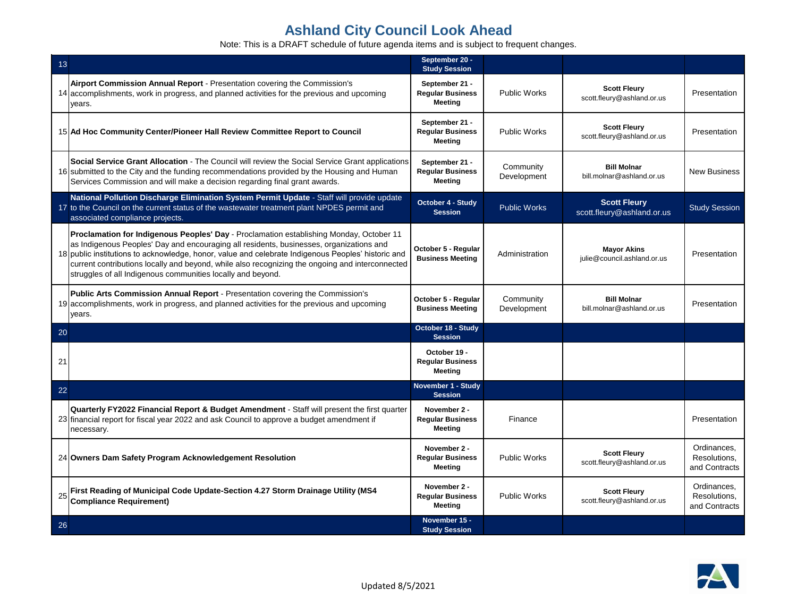## **Ashland City Council Look Ahead**

Note: This is a DRAFT schedule of future agenda items and is subject to frequent changes.

| 13 |                                                                                                                                                                                                                                                                                                                                                                                                                                                            | September 20 -<br><b>Study Session</b>                      |                          |                                                   |                                              |
|----|------------------------------------------------------------------------------------------------------------------------------------------------------------------------------------------------------------------------------------------------------------------------------------------------------------------------------------------------------------------------------------------------------------------------------------------------------------|-------------------------------------------------------------|--------------------------|---------------------------------------------------|----------------------------------------------|
|    | Airport Commission Annual Report - Presentation covering the Commission's<br>14 accomplishments, work in progress, and planned activities for the previous and upcoming<br>years.                                                                                                                                                                                                                                                                          | September 21 -<br><b>Regular Business</b><br><b>Meeting</b> | <b>Public Works</b>      | <b>Scott Fleury</b><br>scott.fleury@ashland.or.us | Presentation                                 |
|    | 15 Ad Hoc Community Center/Pioneer Hall Review Committee Report to Council                                                                                                                                                                                                                                                                                                                                                                                 | September 21 -<br><b>Regular Business</b><br><b>Meeting</b> | <b>Public Works</b>      | <b>Scott Fleury</b><br>scott.fleury@ashland.or.us | Presentation                                 |
|    | <b>Social Service Grant Allocation</b> - The Council will review the Social Service Grant applications<br>16 submitted to the City and the funding recommendations provided by the Housing and Human<br>Services Commission and will make a decision regarding final grant awards.                                                                                                                                                                         | September 21 -<br><b>Regular Business</b><br><b>Meeting</b> | Community<br>Development | <b>Bill Molnar</b><br>bill.molnar@ashland.or.us   | <b>New Business</b>                          |
|    | National Pollution Discharge Elimination System Permit Update - Staff will provide update<br>17 to the Council on the current status of the wastewater treatment plant NPDES permit and<br>associated compliance projects.                                                                                                                                                                                                                                 | October 4 - Study<br><b>Session</b>                         | <b>Public Works</b>      | <b>Scott Fleury</b><br>scott.fleury@ashland.or.us | <b>Study Session</b>                         |
|    | Proclamation for Indigenous Peoples' Day - Proclamation establishing Monday, October 11<br>as Indigenous Peoples' Day and encouraging all residents, businesses, organizations and<br>18 public institutions to acknowledge, honor, value and celebrate Indigenous Peoples' historic and<br>current contributions locally and beyond, while also recognizing the ongoing and interconnected<br>struggles of all Indigenous communities locally and beyond. | October 5 - Regular<br><b>Business Meeting</b>              | Administration           | <b>Mayor Akins</b><br>julie@council.ashland.or.us | Presentation                                 |
|    | Public Arts Commission Annual Report - Presentation covering the Commission's<br>19 accomplishments, work in progress, and planned activities for the previous and upcoming<br>vears.                                                                                                                                                                                                                                                                      | October 5 - Regular<br><b>Business Meeting</b>              | Community<br>Development | <b>Bill Molnar</b><br>bill.molnar@ashland.or.us   | Presentation                                 |
| 20 |                                                                                                                                                                                                                                                                                                                                                                                                                                                            | October 18 - Study<br><b>Session</b>                        |                          |                                                   |                                              |
| 21 |                                                                                                                                                                                                                                                                                                                                                                                                                                                            | October 19 -<br><b>Regular Business</b><br><b>Meeting</b>   |                          |                                                   |                                              |
| 22 |                                                                                                                                                                                                                                                                                                                                                                                                                                                            | November 1 - Study<br><b>Session</b>                        |                          |                                                   |                                              |
|    | Quarterly FY2022 Financial Report & Budget Amendment - Staff will present the first quarter<br>23 financial report for fiscal year 2022 and ask Council to approve a budget amendment if<br>necessary.                                                                                                                                                                                                                                                     | November 2 -<br><b>Regular Business</b><br><b>Meeting</b>   | Finance                  |                                                   | Presentation                                 |
|    | 24 Owners Dam Safety Program Acknowledgement Resolution                                                                                                                                                                                                                                                                                                                                                                                                    | November 2 -<br><b>Regular Business</b><br><b>Meeting</b>   | <b>Public Works</b>      | <b>Scott Fleury</b><br>scott.fleury@ashland.or.us | Ordinances,<br>Resolutions.<br>and Contracts |
|    | First Reading of Municipal Code Update-Section 4.27 Storm Drainage Utility (MS4<br><b>Compliance Requirement)</b>                                                                                                                                                                                                                                                                                                                                          | November 2 -<br><b>Regular Business</b><br><b>Meeting</b>   | <b>Public Works</b>      | <b>Scott Fleury</b><br>scott.fleury@ashland.or.us | Ordinances,<br>Resolutions.<br>and Contracts |
| 26 |                                                                                                                                                                                                                                                                                                                                                                                                                                                            | November 15 -<br><b>Study Session</b>                       |                          |                                                   |                                              |